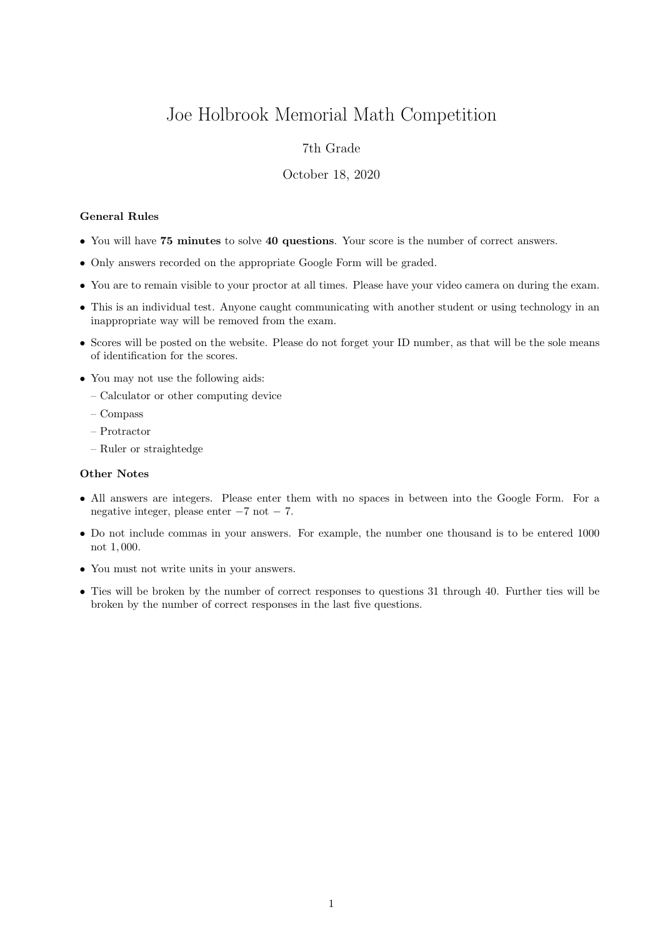# Joe Holbrook Memorial Math Competition

## 7th Grade

#### October 18, 2020

### General Rules

- You will have 75 minutes to solve 40 questions. Your score is the number of correct answers.
- Only answers recorded on the appropriate Google Form will be graded.
- You are to remain visible to your proctor at all times. Please have your video camera on during the exam.
- This is an individual test. Anyone caught communicating with another student or using technology in an inappropriate way will be removed from the exam.
- Scores will be posted on the website. Please do not forget your ID number, as that will be the sole means of identification for the scores.
- You may not use the following aids:
	- Calculator or other computing device
	- Compass
	- Protractor
	- Ruler or straightedge

#### Other Notes

- All answers are integers. Please enter them with no spaces in between into the Google Form. For a negative integer, please enter −7 not − 7.
- Do not include commas in your answers. For example, the number one thousand is to be entered 1000 not 1, 000.
- You must not write units in your answers.
- Ties will be broken by the number of correct responses to questions 31 through 40. Further ties will be broken by the number of correct responses in the last five questions.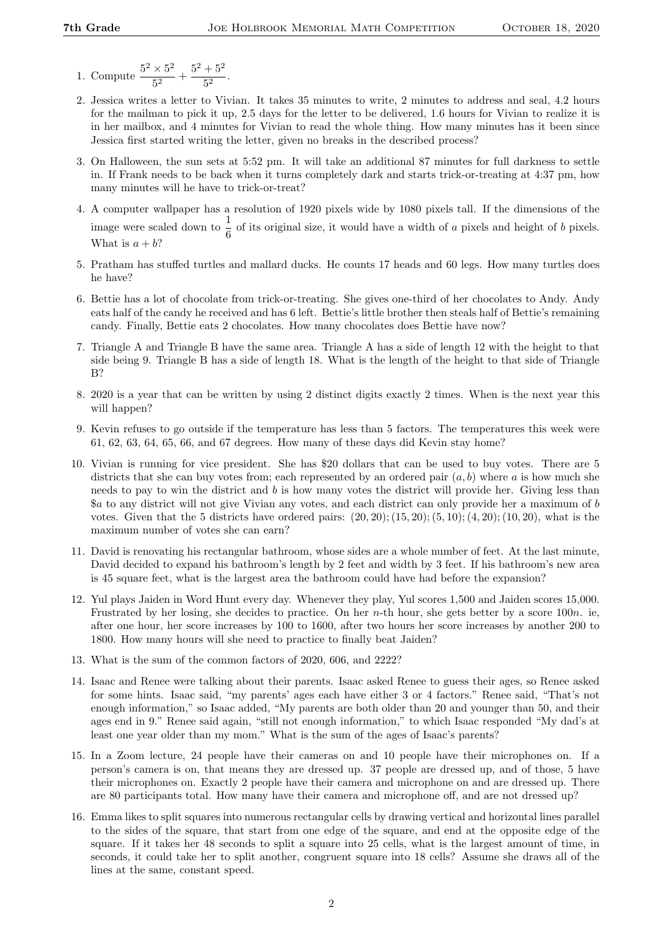- 1. Compute  $\frac{5^2 \times 5^2}{5^2}$  $\frac{1}{5^2}$  +  $\frac{5^2+5^2}{5^2}$  $\frac{1}{5^2}$ .
- 2. Jessica writes a letter to Vivian. It takes 35 minutes to write, 2 minutes to address and seal, 4.2 hours for the mailman to pick it up, 2.5 days for the letter to be delivered, 1.6 hours for Vivian to realize it is in her mailbox, and 4 minutes for Vivian to read the whole thing. How many minutes has it been since Jessica first started writing the letter, given no breaks in the described process?
- 3. On Halloween, the sun sets at 5:52 pm. It will take an additional 87 minutes for full darkness to settle in. If Frank needs to be back when it turns completely dark and starts trick-or-treating at 4:37 pm, how many minutes will he have to trick-or-treat?
- 4. A computer wallpaper has a resolution of 1920 pixels wide by 1080 pixels tall. If the dimensions of the image were scaled down to  $\frac{1}{6}$  of its original size, it would have a width of a pixels and height of b pixels. What is  $a + b$ ?
- 5. Pratham has stuffed turtles and mallard ducks. He counts 17 heads and 60 legs. How many turtles does he have?
- 6. Bettie has a lot of chocolate from trick-or-treating. She gives one-third of her chocolates to Andy. Andy eats half of the candy he received and has 6 left. Bettie's little brother then steals half of Bettie's remaining candy. Finally, Bettie eats 2 chocolates. How many chocolates does Bettie have now?
- 7. Triangle A and Triangle B have the same area. Triangle A has a side of length 12 with the height to that side being 9. Triangle B has a side of length 18. What is the length of the height to that side of Triangle B?
- 8. 2020 is a year that can be written by using 2 distinct digits exactly 2 times. When is the next year this will happen?
- 9. Kevin refuses to go outside if the temperature has less than 5 factors. The temperatures this week were 61, 62, 63, 64, 65, 66, and 67 degrees. How many of these days did Kevin stay home?
- 10. Vivian is running for vice president. She has \$20 dollars that can be used to buy votes. There are 5 districts that she can buy votes from; each represented by an ordered pair  $(a, b)$  where a is how much she needs to pay to win the district and b is how many votes the district will provide her. Giving less than \$a to any district will not give Vivian any votes, and each district can only provide her a maximum of b votes. Given that the 5 districts have ordered pairs:  $(20, 20)$ ;  $(15, 20)$ ;  $(5, 10)$ ;  $(4, 20)$ ;  $(10, 20)$ , what is the maximum number of votes she can earn?
- 11. David is renovating his rectangular bathroom, whose sides are a whole number of feet. At the last minute, David decided to expand his bathroom's length by 2 feet and width by 3 feet. If his bathroom's new area is 45 square feet, what is the largest area the bathroom could have had before the expansion?
- 12. Yul plays Jaiden in Word Hunt every day. Whenever they play, Yul scores 1,500 and Jaiden scores 15,000. Frustrated by her losing, she decides to practice. On her n-th hour, she gets better by a score 100n. ie, after one hour, her score increases by 100 to 1600, after two hours her score increases by another 200 to 1800. How many hours will she need to practice to finally beat Jaiden?
- 13. What is the sum of the common factors of 2020, 606, and 2222?
- 14. Isaac and Renee were talking about their parents. Isaac asked Renee to guess their ages, so Renee asked for some hints. Isaac said, "my parents' ages each have either 3 or 4 factors." Renee said, "That's not enough information," so Isaac added, "My parents are both older than 20 and younger than 50, and their ages end in 9." Renee said again, "still not enough information," to which Isaac responded "My dad's at least one year older than my mom." What is the sum of the ages of Isaac's parents?
- 15. In a Zoom lecture, 24 people have their cameras on and 10 people have their microphones on. If a person's camera is on, that means they are dressed up. 37 people are dressed up, and of those, 5 have their microphones on. Exactly 2 people have their camera and microphone on and are dressed up. There are 80 participants total. How many have their camera and microphone off, and are not dressed up?
- 16. Emma likes to split squares into numerous rectangular cells by drawing vertical and horizontal lines parallel to the sides of the square, that start from one edge of the square, and end at the opposite edge of the square. If it takes her 48 seconds to split a square into 25 cells, what is the largest amount of time, in seconds, it could take her to split another, congruent square into 18 cells? Assume she draws all of the lines at the same, constant speed.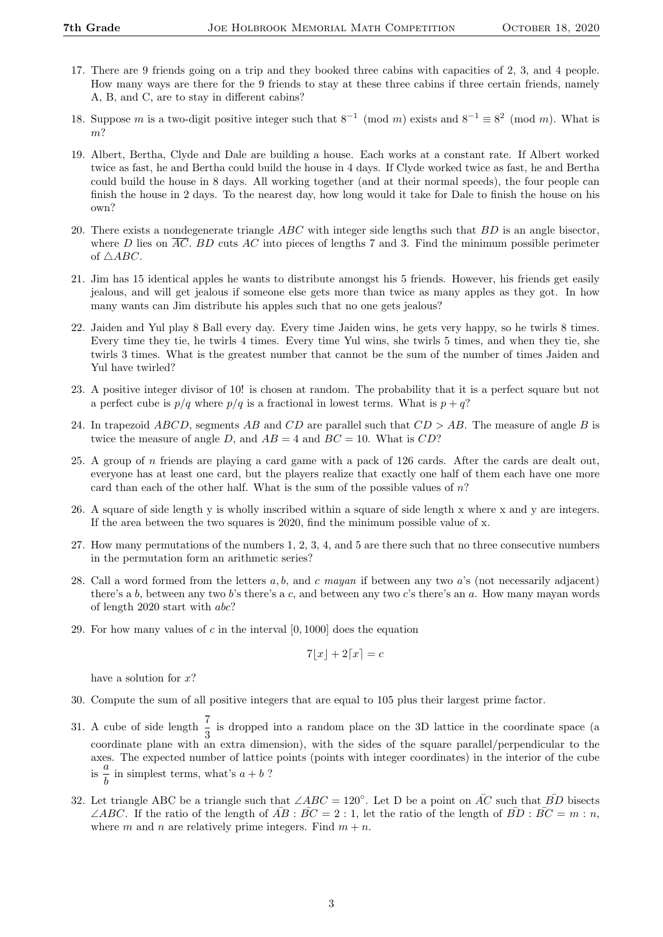- 17. There are 9 friends going on a trip and they booked three cabins with capacities of 2, 3, and 4 people. How many ways are there for the 9 friends to stay at these three cabins if three certain friends, namely A, B, and C, are to stay in different cabins?
- 18. Suppose m is a two-digit positive integer such that  $8^{-1} \pmod{m}$  exists and  $8^{-1} \equiv 8^2 \pmod{m}$ . What is m?
- 19. Albert, Bertha, Clyde and Dale are building a house. Each works at a constant rate. If Albert worked twice as fast, he and Bertha could build the house in 4 days. If Clyde worked twice as fast, he and Bertha could build the house in 8 days. All working together (and at their normal speeds), the four people can finish the house in 2 days. To the nearest day, how long would it take for Dale to finish the house on his own?
- 20. There exists a nondegenerate triangle  $ABC$  with integer side lengths such that  $BD$  is an angle bisector, where D lies on  $\overline{AC}$ . BD cuts AC into pieces of lengths 7 and 3. Find the minimum possible perimeter of  $\triangle ABC$ .
- 21. Jim has 15 identical apples he wants to distribute amongst his 5 friends. However, his friends get easily jealous, and will get jealous if someone else gets more than twice as many apples as they got. In how many wants can Jim distribute his apples such that no one gets jealous?
- 22. Jaiden and Yul play 8 Ball every day. Every time Jaiden wins, he gets very happy, so he twirls 8 times. Every time they tie, he twirls 4 times. Every time Yul wins, she twirls 5 times, and when they tie, she twirls 3 times. What is the greatest number that cannot be the sum of the number of times Jaiden and Yul have twirled?
- 23. A positive integer divisor of 10! is chosen at random. The probability that it is a perfect square but not a perfect cube is  $p/q$  where  $p/q$  is a fractional in lowest terms. What is  $p+q$ ?
- 24. In trapezoid ABCD, segments AB and CD are parallel such that  $CD > AB$ . The measure of angle B is twice the measure of angle D, and  $AB = 4$  and  $BC = 10$ . What is CD?
- 25. A group of n friends are playing a card game with a pack of 126 cards. After the cards are dealt out, everyone has at least one card, but the players realize that exactly one half of them each have one more card than each of the other half. What is the sum of the possible values of n?
- 26. A square of side length y is wholly inscribed within a square of side length x where x and y are integers. If the area between the two squares is 2020, find the minimum possible value of x.
- 27. How many permutations of the numbers 1, 2, 3, 4, and 5 are there such that no three consecutive numbers in the permutation form an arithmetic series?
- 28. Call a word formed from the letters  $a, b$ , and c mayan if between any two  $a$ 's (not necessarily adjacent) there's a b, between any two b's there's a c, and between any two c's there's an a. How many mayan words of length 2020 start with abc?
- 29. For how many values of  $c$  in the interval  $[0, 1000]$  does the equation

$$
7\lfloor x \rfloor + 2\lceil x \rceil = c
$$

have a solution for  $x$ ?

- 30. Compute the sum of all positive integers that are equal to 105 plus their largest prime factor.
- 31. A cube of side length  $\frac{7}{3}$  is dropped into a random place on the 3D lattice in the coordinate space (a coordinate plane with an extra dimension), with the sides of the square parallel/perpendicular to the axes. The expected number of lattice points (points with integer coordinates) in the interior of the cube is  $\frac{a}{1}$  $\frac{a}{b}$  in simplest terms, what's  $a + b$  ?
- 32. Let triangle ABC be a triangle such that  $\angle ABC = 120^{\circ}$ . Let D be a point on  $\overline{AC}$  such that  $\overline{BD}$  bisects ∠ABC. If the ratio of the length of  $\overline{AB}$  :  $\overline{BC} = 2 : 1$ , let the ratio of the length of  $\overline{BD} : \overline{BC} = m : n$ , where m and n are relatively prime integers. Find  $m + n$ .